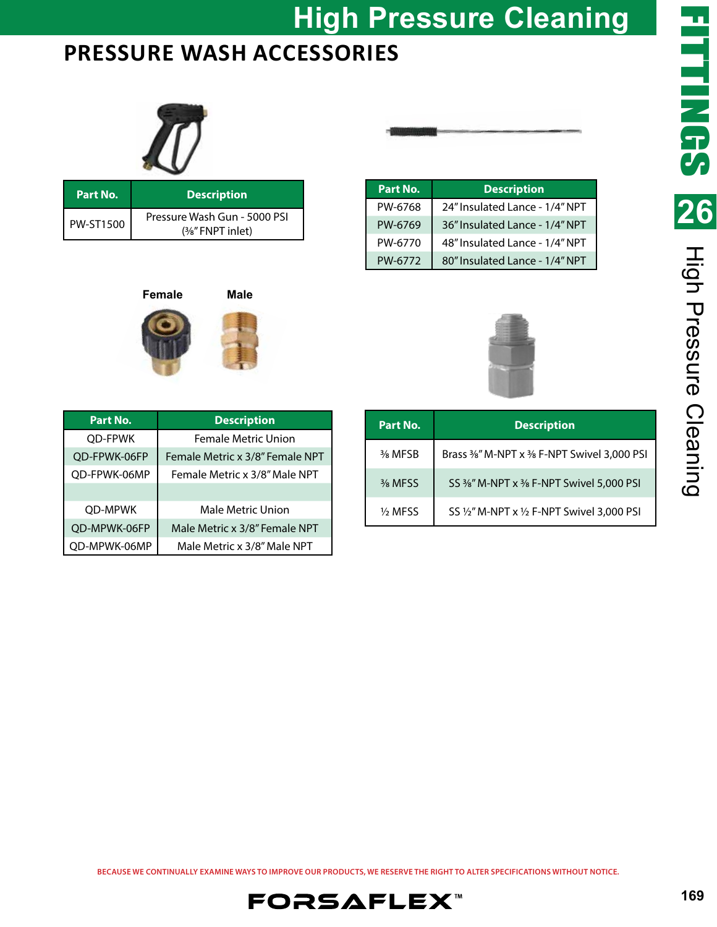# **High Pressure Cleaning**

### **PRESSURE WASH ACCESSORIES**



| Part No.         | <b>Description</b>                                    |
|------------------|-------------------------------------------------------|
| <b>PW-ST1500</b> | Pressure Wash Gun - 5000 PSI<br>$(3/8)$ " FNPT inlet) |

**Female Male**

| Part No. | <b>Description</b>             |
|----------|--------------------------------|
| PW-6768  | 24" Insulated Lance - 1/4" NPT |
| PW-6769  | 36" Insulated Lance - 1/4" NPT |
| PW-6770  | 48" Insulated Lance - 1/4" NPT |
| PW-6772  | 80" Insulated Lance - 1/4" NPT |



| Part No.       | <b>Description</b>              |
|----------------|---------------------------------|
| <b>OD-FPWK</b> | <b>Female Metric Union</b>      |
| QD-FPWK-06FP   | Female Metric x 3/8" Female NPT |
| OD-FPWK-06MP   | Female Metric x 3/8" Male NPT   |
|                |                                 |
| OD-MPWK        | Male Metric Union               |
| OD-MPWK-06FP   | Male Metric x 3/8" Female NPT   |
| OD-MPWK-06MP   | Male Metric x 3/8" Male NPT     |

| Part No.             | <b>Description</b>                                              |
|----------------------|-----------------------------------------------------------------|
| 3% MFSB              | Brass 3%" M-NPT x 3% F-NPT Swivel 3,000 PSI                     |
| 3/ <sub>8</sub> MFSS | SS 3%" M-NPT x 3% F-NPT Swivel 5,000 PSI                        |
| 1/ <sub>2</sub> MFSS | SS $\frac{1}{2}$ " M-NPT x $\frac{1}{2}$ F-NPT Swivel 3,000 PSI |

**BECAUSE WE CONTINUALLY EXAMINE WAYS TO IMPROVE OUR PRODUCTS, WE RESERVE THE RIGHT TO ALTER SPECIFICATIONS WITHOUT NOTICE.**

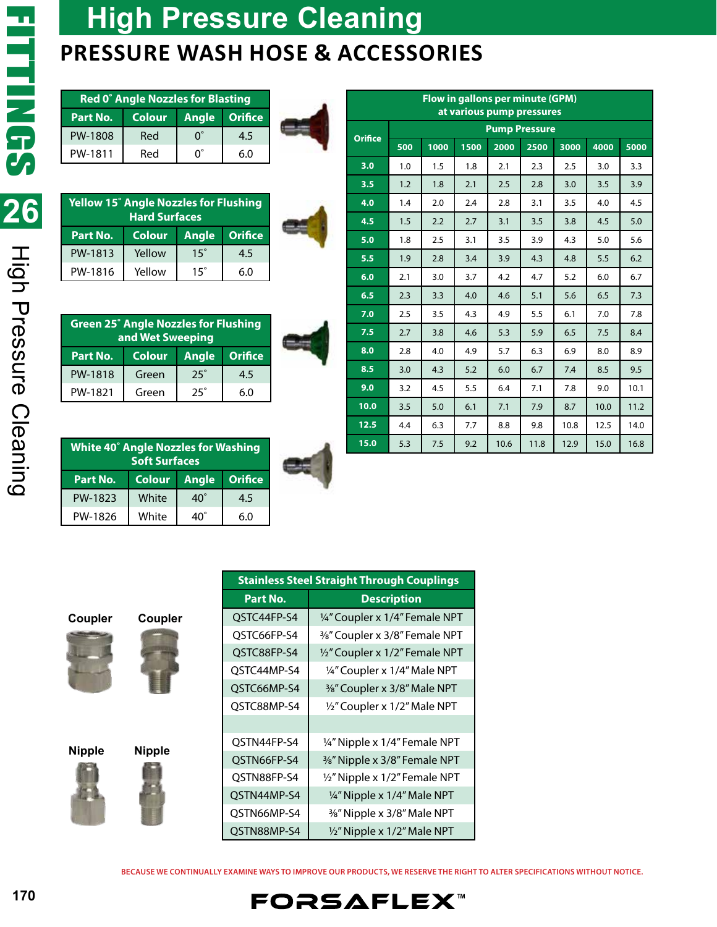High Pressure Cleaning

### **High Pressure Cleaning PRESSURE WASH HOSE & ACCESSORIES**

| <b>Red 0° Angle Nozzles for Blasting</b> |        |    |               |  |  |  |
|------------------------------------------|--------|----|---------------|--|--|--|
| Part No.                                 | Colour |    | Angle Orifice |  |  |  |
| PW-1808                                  | Red    | ∩° | 4.5           |  |  |  |
| PW-1811                                  | Red    |    | 60            |  |  |  |



**Orifice**

| <b>Yellow 15° Angle Nozzles for Flushing</b><br><b>Hard Surfaces</b> |               |            |               |  |  |
|----------------------------------------------------------------------|---------------|------------|---------------|--|--|
| Part No.                                                             | <b>Colour</b> |            | Angle Orifice |  |  |
| PW-1813                                                              | Yellow        | $15^\circ$ | 4.5           |  |  |
| PW-1816                                                              | Yellow        | $15^\circ$ | 6.0           |  |  |

| <b>Green 25° Angle Nozzles for Flushing</b><br>and Wet Sweeping |               |            |                |  |  |
|-----------------------------------------------------------------|---------------|------------|----------------|--|--|
| Part No.                                                        | <b>Colour</b> | Angle      | <b>Orifice</b> |  |  |
| PW-1818                                                         | Green         | $25^\circ$ | 4.5            |  |  |
| PW-1821                                                         | Green         | つら゜        | 6.0            |  |  |

| ۱                             |  |  |
|-------------------------------|--|--|
| ï<br>$\overline{\phantom{a}}$ |  |  |
|                               |  |  |

| <b>White 40° Angle Nozzles for Washing</b><br><b>Soft Surfaces</b> |               |              |                |  |  |
|--------------------------------------------------------------------|---------------|--------------|----------------|--|--|
| Part No.                                                           | <b>Colour</b> | Angle        | <b>Orifice</b> |  |  |
| PW-1823                                                            | White         | $40^{\circ}$ | 4.5            |  |  |
| PW-1826                                                            | White         | 40`          | 60             |  |  |



| . .         |  | 7.5  | 2.7 | 3.8 | 4.6 | 5.3  | 5.9  | 6.5  | 7.5  | 8.4  |
|-------------|--|------|-----|-----|-----|------|------|------|------|------|
| rifice      |  | 8.0  | 2.8 | 4.0 | 4.9 | 5.7  | 6.3  | 6.9  | 8.0  | 8.9  |
| 4.5         |  | 8.5  | 3.0 | 4.3 | 5.2 | 6.0  | 6.7  | 7.4  | 8.5  | 9.5  |
| 6.0         |  | 9.0  | 3.2 | 4.5 | 5.5 | 6.4  | 7.1  | 7.8  | 9.0  | 10.1 |
|             |  | 10.0 | 3.5 | 5.0 | 6.1 | 7.1  | 7.9  | 8.7  | 10.0 | 11.2 |
|             |  | 12.5 | 4.4 | 6.3 | 7.7 | 8.8  | 9.8  | 10.8 | 12.5 | 14.0 |
| <b>ning</b> |  | 15.0 | 5.3 | 7.5 | 9.2 | 10.6 | 11.8 | 12.9 | 15.0 | 16.8 |
| rifice      |  |      |     |     |     |      |      |      |      |      |

**Flow in gallons per minute (GPM) at various pump pressures**

**3.0** 1.0 1.5 1.8 2.1 2.3 2.5 3.0 3.3 **3.5** 1.2 1.8 2.1 2.5 2.8 3.0 3.5 3.9 **4.0** 1.4 2.0 2.4 2.8 3.1 3.5 4.0 4.5 **4.5** 1.5 2.2 2.7 3.1 3.5 3.8 4.5 3.0 **5.0** 1.8 2.5 3.1 3.5 3.9 4.3 5.0 5.6 **5.5** 1.9 2.8 3.4 3.9 4.3 4.8 5.5 6.2 **6.0** 2.1 3.0 3.7 4.2 4.7 5.2 6.0 6.7 **6.5** 2.3 3.3 4.0 4.6 5.1 5.6 6.5 7.3 **7.0** 2.5 3.5 4.3 4.9 5.5 6.1 7.0 7.8

**Pump Pressure 500 1000 1500 2000 2500 3000 4000 5000**

| Coupler |  |
|---------|--|











**BECAUSE WE CONTINUALLY EXAMINE WAYS TO IMPROVE OUR PRODUCTS, WE RESERVE THE RIGHT TO ALTER SPECIFICATIONS WITHOUT NOTICE.**

**FORSAFLEX**™